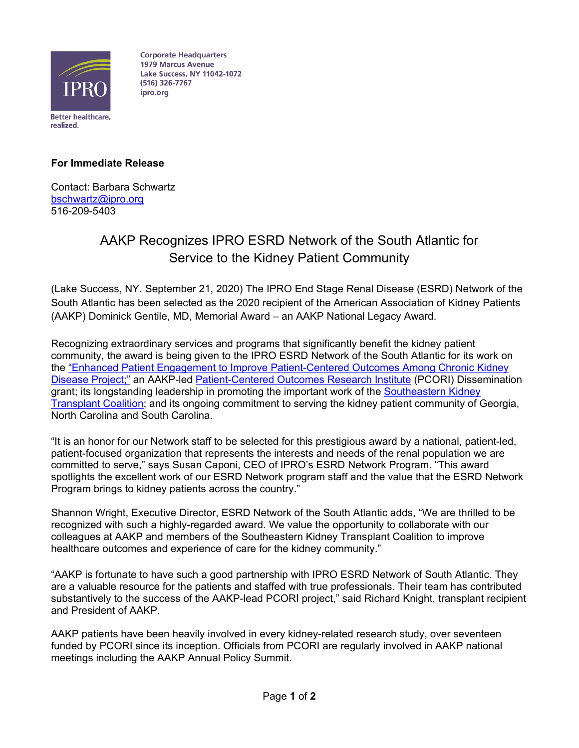

**Corporate Headquarters 1979 Marcus Avenue Lake Success, NY 11042-1072** (516) 326-7767 ipro.org

## **For Immediate Release**

Contact: Barbara Schwartz bschwartz@ipro.org 516-209-5403

## AAKP Recognizes IPRO ESRD Network of the South Atlantic for Service to the Kidney Patient Community

(Lake Success, NY. September 21, 2020) The IPRO End Stage Renal Disease (ESRD) Network of the South Atlantic has been selected as the 2020 recipient of the American Association of Kidney Patients (AAKP) Dominick Gentile, MD, Memorial Award – an AAKP National Legacy Award.

Recognizing extraordinary services and programs that significantly benefit the kidney patient community, the award is being given to the IPRO ESRD Network of the South Atlantic for its work on the "Enhanced Patient Engagement to Improve Patient-Centered Outcomes Among Chronic Kidney Disease Project;" an AAKP-led Patient-Centered Outcomes Research Institute (PCORI) Dissemination grant; its longstanding leadership in promoting the important work of the Southeastern Kidney Transplant Coalition; and its ongoing commitment to serving the kidney patient community of Georgia, North Carolina and South Carolina.

"It is an honor for our Network staff to be selected for this prestigious award by a national, patient-led, patient-focused organization that represents the interests and needs of the renal population we are committed to serve," says Susan Caponi, CEO of IPRO's ESRD Network Program. "This award spotlights the excellent work of our ESRD Network program staff and the value that the ESRD Network Program brings to kidney patients across the country."

Shannon Wright, Executive Director, ESRD Network of the South Atlantic adds, "We are thrilled to be recognized with such a highly-regarded award. We value the opportunity to collaborate with our colleagues at AAKP and members of the Southeastern Kidney Transplant Coalition to improve healthcare outcomes and experience of care for the kidney community."

"AAKP is fortunate to have such a good partnership with IPRO ESRD Network of South Atlantic. They are a valuable resource for the patients and staffed with true professionals. Their team has contributed substantively to the success of the AAKP-lead PCORI project," said Richard Knight, transplant recipient and President of AAKP.

AAKP patients have been heavily involved in every kidney-related research study, over seventeen funded by PCORI since its inception. Officials from PCORI are regularly involved in AAKP national meetings including the AAKP Annual Policy Summit.